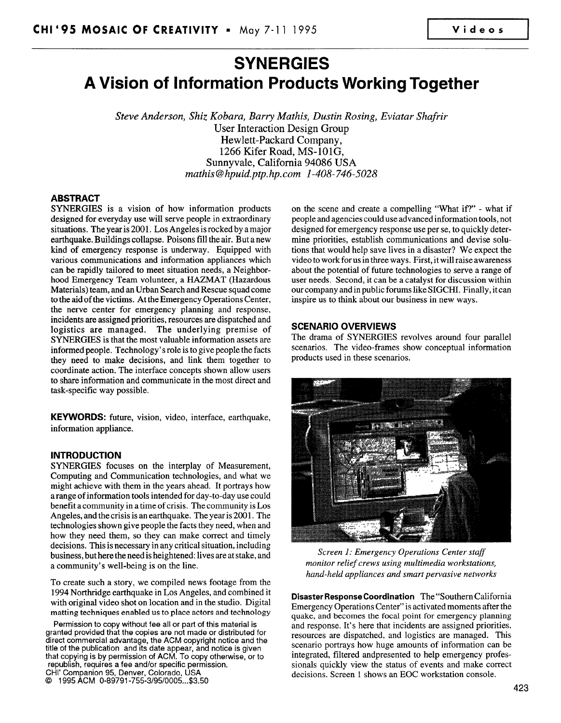# **SYNERGIES** A Vision of Information Products Working Together

Steve Anderson, Shiz Kobara, Barry Mathis, Dustin Rosing, Eviatar Shafrir User Interaction Design Group Hewlett-Packard Company, 1266 Kifer Road, MS-101G, Sunnyvale, California 94086 USA mathis@hpuid.ptp. hp. com 1-408-746-5028

## ABSTRACT

SYNERGIES is a vision of how information products designed for everyday use will serve people in extraordinary situations. The year is 2001. Los Angeles is rocked by amajor earthquake. Buildings collapse. Poisons fill the air. But anew kind of emergency response is underway. Equipped with various communications and information appliances which can be rapidly tailored to meet situation needs, a Neighborhood Emergency Team volunteer, a HAZMAT (Hazardous Materials) team, and an Urban Search and Rescue squad come to the aid of the victims. At the Emergency Operations Center, the nerve center for emergency planning and response, incidents are assigned priorities, resources are dispatched and logistics are managed. The underlying premise of SYNERGIES is that the most valuable information assets are informed people. Technology's role is to give people the facts they need to make decisions, and link them together to coordinate action. The interface concepts shown allow users to share information and communicate in the most direct and task-specific way possible.

KEYWORDS: future, vision, video, interface, earthquake, information appliance.

#### INTRODUCTION

SYNERGIES focuses on the interplay of Measurement, Computing and Communication technologies, and what we might achieve with them in the years ahead. It portrays how a range of information tools intended for day-to-day use could benefit a community in a time of crisis. The community is Los Angeles, and the crisis is an earthquake. The year is 2001. The technologies shown give people the facts they need, when and how they need them, so they can make correct and timely decisions. This is necessary in any critical situation, including business, but here the need is heightened: lives are at stake, and a community's well-being is on the line.

To create such a story, we compiled news footage from the 1994 Northridge earthquake in Los Angeles, and combined it with original video shot on location and in the studio. Digital matting techniques enabled us to place actors and technology

Permission to copy without fee all or part of this material is granted provided that the copies are not made or distributed for direct commercial advantage, the ACM copyright notice and the title of the publication and its date appear, and notice is given that copying is by permission of ACM. To copy otherwise, or to republish, requires a fee and/or specific permission. CHI' Companion 95, Denver, Colorado, USA @ 1995 ACM 0-89791 -755-3/95/0005 ...\$3.50

on the scene and create a compelling "What if?" - what if people and agencies could use advanced information tools, not designed for emergency response use per se, to quickly determine priorities, establish communications and devise solutions that would help save lives in a disaster? We expect the video to work for us in three ways. First, it will raise awareness about the potential of future technologies to serve a range of user needs. Second, it can be a catalyst for discussion within our company and in public forums like SIGCHI. Finally, it can inspire us to think about our business in new ways.

## SCENARIO OVERVIEWS

The drama of SYNERGIES revolves around four parallel scenarios. The video-frames show conceptual information products used in these scenarios.



Screen 1: Emergency Operations Center staff monitor relief crews using multimedia workstations, hand-held appliances and smart pervasive networks

Disaster Response Coordination The "Southern California Emergency Operations Center" is activated moments after the quake, and becomes the focal point for emergency planning and response. It's here that incidents are assigned priorities, resources are dispatched, and logistics are managed. This scenario portrays how huge amounts of information can be integrated, filtered andpresented to help emergency professionals quickly view the status of events and make correct decisions. Screen 1 shows an EOC workstation console.